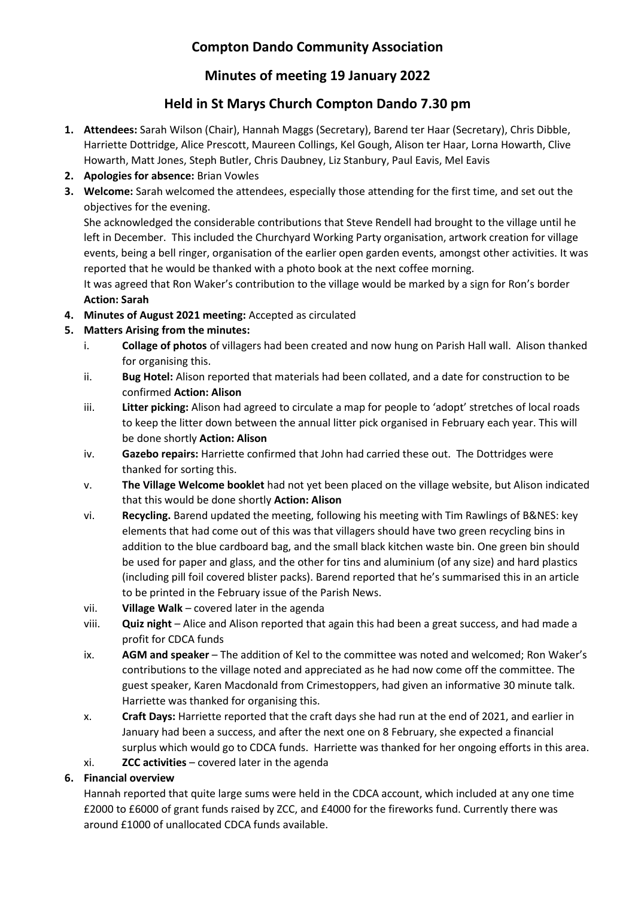# **Compton Dando Community Association**

## **Minutes of meeting 19 January 2022**

## **Held in St Marys Church Compton Dando 7.30 pm**

- **1. Attendees:** Sarah Wilson (Chair), Hannah Maggs (Secretary), Barend ter Haar (Secretary), Chris Dibble, Harriette Dottridge, Alice Prescott, Maureen Collings, Kel Gough, Alison ter Haar, Lorna Howarth, Clive Howarth, Matt Jones, Steph Butler, Chris Daubney, Liz Stanbury, Paul Eavis, Mel Eavis
- **2. Apologies for absence:** Brian Vowles
- **3. Welcome:** Sarah welcomed the attendees, especially those attending for the first time, and set out the objectives for the evening.

She acknowledged the considerable contributions that Steve Rendell had brought to the village until he left in December. This included the Churchyard Working Party organisation, artwork creation for village events, being a bell ringer, organisation of the earlier open garden events, amongst other activities. It was reported that he would be thanked with a photo book at the next coffee morning.

It was agreed that Ron Waker's contribution to the village would be marked by a sign for Ron's border **Action: Sarah**

**4. Minutes of August 2021 meeting:** Accepted as circulated

### **5. Matters Arising from the minutes:**

- i. **Collage of photos** of villagers had been created and now hung on Parish Hall wall. Alison thanked for organising this.
- ii. **Bug Hotel:** Alison reported that materials had been collated, and a date for construction to be confirmed **Action: Alison**
- iii. **Litter picking:** Alison had agreed to circulate a map for people to 'adopt' stretches of local roads to keep the litter down between the annual litter pick organised in February each year. This will be done shortly **Action: Alison**
- iv. **Gazebo repairs:** Harriette confirmed that John had carried these out. The Dottridges were thanked for sorting this.
- v. **The Village Welcome booklet** had not yet been placed on the village website, but Alison indicated that this would be done shortly **Action: Alison**
- vi. **Recycling.** Barend updated the meeting, following his meeting with Tim Rawlings of B&NES: key elements that had come out of this was that villagers should have two green recycling bins in addition to the blue cardboard bag, and the small black kitchen waste bin. One green bin should be used for paper and glass, and the other for tins and aluminium (of any size) and hard plastics (including pill foil covered blister packs). Barend reported that he's summarised this in an article to be printed in the February issue of the Parish News.
- vii. **Village Walk** covered later in the agenda
- viii. **Quiz night** Alice and Alison reported that again this had been a great success, and had made a profit for CDCA funds
- ix. **AGM and speaker** The addition of Kel to the committee was noted and welcomed; Ron Waker's contributions to the village noted and appreciated as he had now come off the committee. The guest speaker, Karen Macdonald from Crimestoppers, had given an informative 30 minute talk. Harriette was thanked for organising this.
- x. **Craft Days:** Harriette reported that the craft days she had run at the end of 2021, and earlier in January had been a success, and after the next one on 8 February, she expected a financial surplus which would go to CDCA funds. Harriette was thanked for her ongoing efforts in this area.
- xi. **ZCC activities** covered later in the agenda

### **6. Financial overview**

Hannah reported that quite large sums were held in the CDCA account, which included at any one time £2000 to £6000 of grant funds raised by ZCC, and £4000 for the fireworks fund. Currently there was around £1000 of unallocated CDCA funds available.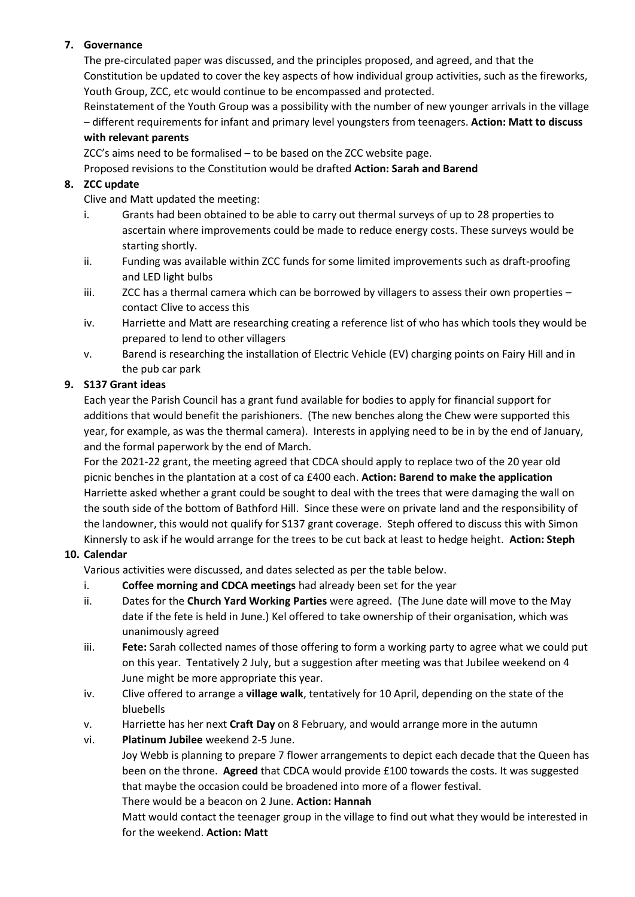### **7. Governance**

The pre-circulated paper was discussed, and the principles proposed, and agreed, and that the Constitution be updated to cover the key aspects of how individual group activities, such as the fireworks, Youth Group, ZCC, etc would continue to be encompassed and protected.

Reinstatement of the Youth Group was a possibility with the number of new younger arrivals in the village – different requirements for infant and primary level youngsters from teenagers. **Action: Matt to discuss with relevant parents**

ZCC's aims need to be formalised – to be based on the ZCC website page.

#### Proposed revisions to the Constitution would be drafted **Action: Sarah and Barend**

#### **8. ZCC update**

Clive and Matt updated the meeting:

- i. Grants had been obtained to be able to carry out thermal surveys of up to 28 properties to ascertain where improvements could be made to reduce energy costs. These surveys would be starting shortly.
- ii. Funding was available within ZCC funds for some limited improvements such as draft-proofing and LED light bulbs
- iii. ZCC has a thermal camera which can be borrowed by villagers to assess their own properties contact Clive to access this
- iv. Harriette and Matt are researching creating a reference list of who has which tools they would be prepared to lend to other villagers
- v. Barend is researching the installation of Electric Vehicle (EV) charging points on Fairy Hill and in the pub car park

#### **9. S137 Grant ideas**

Each year the Parish Council has a grant fund available for bodies to apply for financial support for additions that would benefit the parishioners. (The new benches along the Chew were supported this year, for example, as was the thermal camera). Interests in applying need to be in by the end of January, and the formal paperwork by the end of March.

For the 2021-22 grant, the meeting agreed that CDCA should apply to replace two of the 20 year old picnic benches in the plantation at a cost of ca £400 each. **Action: Barend to make the application** Harriette asked whether a grant could be sought to deal with the trees that were damaging the wall on the south side of the bottom of Bathford Hill. Since these were on private land and the responsibility of the landowner, this would not qualify for S137 grant coverage. Steph offered to discuss this with Simon Kinnersly to ask if he would arrange for the trees to be cut back at least to hedge height. **Action: Steph**

#### **10. Calendar**

Various activities were discussed, and dates selected as per the table below.

- i. **Coffee morning and CDCA meetings** had already been set for the year
- ii. Dates for the **Church Yard Working Parties** were agreed. (The June date will move to the May date if the fete is held in June.) Kel offered to take ownership of their organisation, which was unanimously agreed
- iii. **Fete:** Sarah collected names of those offering to form a working party to agree what we could put on this year. Tentatively 2 July, but a suggestion after meeting was that Jubilee weekend on 4 June might be more appropriate this year.
- iv. Clive offered to arrange a **village walk**, tentatively for 10 April, depending on the state of the bluebells
- v. Harriette has her next **Craft Day** on 8 February, and would arrange more in the autumn
- vi. **Platinum Jubilee** weekend 2-5 June.

Joy Webb is planning to prepare 7 flower arrangements to depict each decade that the Queen has been on the throne. **Agreed** that CDCA would provide £100 towards the costs. It was suggested that maybe the occasion could be broadened into more of a flower festival.

There would be a beacon on 2 June. **Action: Hannah**

Matt would contact the teenager group in the village to find out what they would be interested in for the weekend. **Action: Matt**